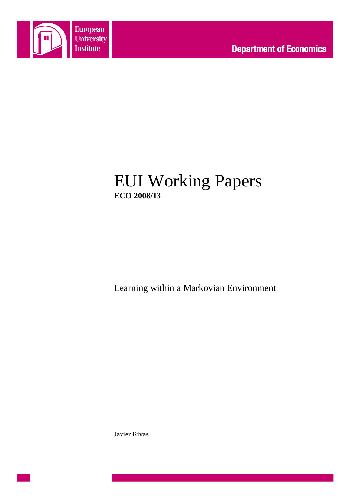

# EUI Working Papers **ECO 2008/13**

Learning within a Markovian Environment

Javier Rivas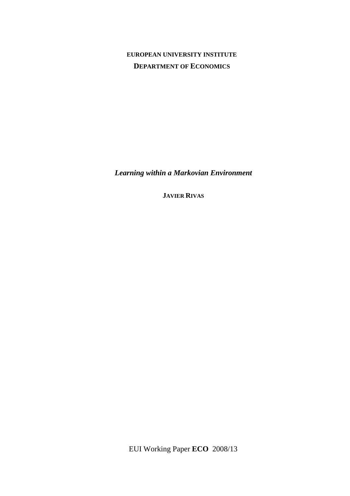# **EUROPEAN UNIVERSITY INSTITUTE DEPARTMENT OF ECONOMICS**

*Learning within a Markovian Environment*

**JAVIER RIVAS**

EUI Working Paper **ECO** 2008/13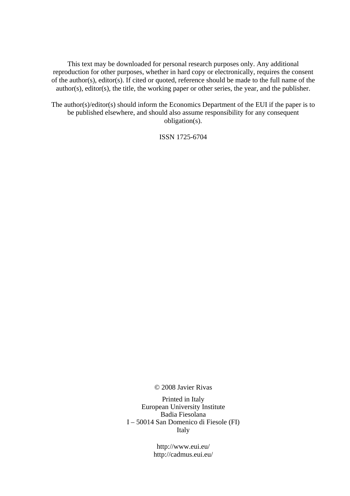This text may be downloaded for personal research purposes only. Any additional reproduction for other purposes, whether in hard copy or electronically, requires the consent of the author(s), editor(s). If cited or quoted, reference should be made to the full name of the author(s), editor(s), the title, the working paper or other series, the year, and the publisher.

The author(s)/editor(s) should inform the Economics Department of the EUI if the paper is to be published elsewhere, and should also assume responsibility for any consequent obligation(s).

ISSN 1725-6704

© 2008 Javier Rivas

Printed in Italy European University Institute Badia Fiesolana I – 50014 San Domenico di Fiesole (FI) Italy

> http://www.eui.eu/ http://cadmus.eui.eu/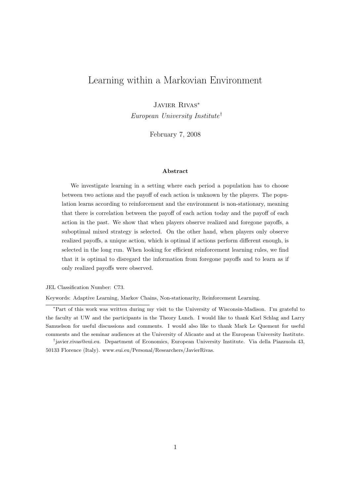# Learning within a Markovian Environment

Javier Rivas<sup>∗</sup>

European University Institute†

February 7, 2008

#### Abstract

We investigate learning in a setting where each period a population has to choose between two actions and the payoff of each action is unknown by the players. The population learns according to reinforcement and the environment is non-stationary, meaning that there is correlation between the payoff of each action today and the payoff of each action in the past. We show that when players observe realized and foregone payoffs, a suboptimal mixed strategy is selected. On the other hand, when players only observe realized payoffs, a unique action, which is optimal if actions perform different enough, is selected in the long run. When looking for efficient reinforcement learning rules, we find that it is optimal to disregard the information from foregone payoffs and to learn as if only realized payoffs were observed.

JEL Classification Number: C73.

Keywords: Adaptive Learning, Markov Chains, Non-stationarity, Reinforcement Learning.

<sup>∗</sup>Part of this work was written during my visit to the University of Wisconsin-Madison. I'm grateful to the faculty at UW and the participants in the Theory Lunch. I would like to thank Karl Schlag and Larry Samuelson for useful discussions and comments. I would also like to thank Mark Le Quement for useful comments and the seminar audiences at the University of Alicante and at the European University Institute.

<sup>†</sup> javier.rivas@eui.eu. Department of Economics, European University Institute. Via della Piazzuola 43, 50133 Florence (Italy). www.eui.eu/Personal/Researchers/JavierRivas.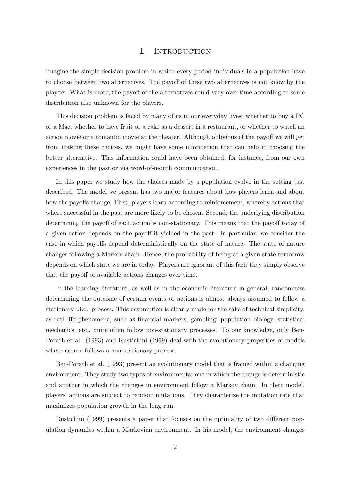#### 1 INTRODUCTION

Imagine the simple decision problem in which every period individuals in a population have to choose between two alternatives. The payoff of these two alternatives is not know by the players. What is more, the payoff of the alternatives could vary over time according to some distribution also unknown for the players.

This decision problem is faced by many of us in our everyday lives: whether to buy a PC or a Mac, whether to have fruit or a cake as a dessert in a restaurant, or whether to watch an action movie or a romantic movie at the theater. Although oblivious of the payoff we will get from making these choices, we might have some information that can help in choosing the better alternative. This information could have been obtained, for instance, from our own experiences in the past or via word-of-mouth communication.

In this paper we study how the choices made by a population evolve in the setting just described. The model we present has two major features about how players learn and about how the payoffs change. First, players learn according to reinforcement, whereby actions that where successful in the past are more likely to be chosen. Second, the underlying distribution determining the payoff of each action is non-stationary. This means that the payoff today of a given action depends on the payoff it yielded in the past. In particular, we consider the case in which payoffs depend deterministically on the state of nature. The state of nature changes following a Markov chain. Hence, the probability of being at a given state tomorrow depends on which state we are in today. Players are ignorant of this fact; they simply observe that the payoff of available actions changes over time.

In the learning literature, as well as in the economic literature in general, randomness determining the outcome of certain events or actions is almost always assumed to follow a stationary i.i.d. process. This assumption is clearly made for the sake of technical simplicity, as real life phenomena, such as financial markets, gambling, population biology, statistical mechanics, etc., quite often follow non-stationary processes. To our knowledge, only Ben-Porath et al. (1993) and Rustichini (1999) deal with the evolutionary properties of models where nature follows a non-stationary process.

Ben-Porath et al. (1993) present an evolutionary model that is framed within a changing environment. They study two types of environments: one in which the change is deterministic and another in which the changes in environment follow a Markov chain. In their model, players' actions are subject to random mutations. They characterize the mutation rate that maximizes population growth in the long run.

Rustichini (1999) presents a paper that focuses on the optimality of two different population dynamics within a Markovian environment. In his model, the environment changes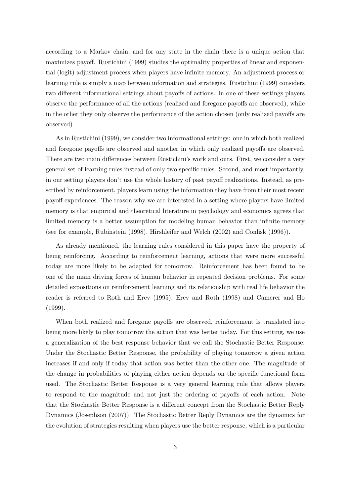according to a Markov chain, and for any state in the chain there is a unique action that maximizes payoff. Rustichini (1999) studies the optimality properties of linear and exponential (logit) adjustment process when players have infinite memory. An adjustment process or learning rule is simply a map between information and strategies. Rustichini (1999) considers two different informational settings about payoffs of actions. In one of these settings players observe the performance of all the actions (realized and foregone payoffs are observed), while in the other they only observe the performance of the action chosen (only realized payoffs are observed).

As in Rustichini (1999), we consider two informational settings: one in which both realized and foregone payoffs are observed and another in which only realized payoffs are observed. There are two main differences between Rustichini's work and ours. First, we consider a very general set of learning rules instead of only two specific rules. Second, and most importantly, in our setting players don't use the whole history of past payoff realizations. Instead, as prescribed by reinforcement, players learn using the information they have from their most recent payoff experiences. The reason why we are interested in a setting where players have limited memory is that empirical and theoretical literature in psychology and economics agrees that limited memory is a better assumption for modeling human behavior than infinite memory (see for example, Rubinstein (1998), Hirshleifer and Welch (2002) and Conlisk (1996)).

As already mentioned, the learning rules considered in this paper have the property of being reinforcing. According to reinforcement learning, actions that were more successful today are more likely to be adapted for tomorrow. Reinforcement has been found to be one of the main driving forces of human behavior in repeated decision problems. For some detailed expositions on reinforcement learning and its relationship with real life behavior the reader is referred to Roth and Erev (1995), Erev and Roth (1998) and Camerer and Ho (1999).

When both realized and foregone payoffs are observed, reinforcement is translated into being more likely to play tomorrow the action that was better today. For this setting, we use a generalization of the best response behavior that we call the Stochastic Better Response. Under the Stochastic Better Response, the probability of playing tomorrow a given action increases if and only if today that action was better than the other one. The magnitude of the change in probabilities of playing either action depends on the specific functional form used. The Stochastic Better Response is a very general learning rule that allows players to respond to the magnitude and not just the ordering of payoffs of each action. Note that the Stochastic Better Response is a different concept from the Stochastic Better Reply Dynamics (Josephson (2007)). The Stochastic Better Reply Dynamics are the dynamics for the evolution of strategies resulting when players use the better response, which is a particular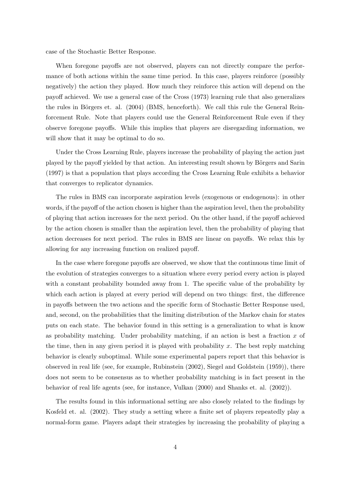case of the Stochastic Better Response.

When foregone payoffs are not observed, players can not directly compare the performance of both actions within the same time period. In this case, players reinforce (possibly negatively) the action they played. How much they reinforce this action will depend on the payoff achieved. We use a general case of the Cross (1973) learning rule that also generalizes the rules in Börgers et. al.  $(2004)$  (BMS, henceforth). We call this rule the General Reinforcement Rule. Note that players could use the General Reinforcement Rule even if they observe foregone payoffs. While this implies that players are disregarding information, we will show that it may be optimal to do so.

Under the Cross Learning Rule, players increase the probability of playing the action just played by the payoff yielded by that action. An interesting result shown by Börgers and Sarin (1997) is that a population that plays according the Cross Learning Rule exhibits a behavior that converges to replicator dynamics.

The rules in BMS can incorporate aspiration levels (exogenous or endogenous): in other words, if the payoff of the action chosen is higher than the aspiration level, then the probability of playing that action increases for the next period. On the other hand, if the payoff achieved by the action chosen is smaller than the aspiration level, then the probability of playing that action decreases for next period. The rules in BMS are linear on payoffs. We relax this by allowing for any increasing function on realized payoff.

In the case where foregone payoffs are observed, we show that the continuous time limit of the evolution of strategies converges to a situation where every period every action is played with a constant probability bounded away from 1. The specific value of the probability by which each action is played at every period will depend on two things: first, the difference in payoffs between the two actions and the specific form of Stochastic Better Response used, and, second, on the probabilities that the limiting distribution of the Markov chain for states puts on each state. The behavior found in this setting is a generalization to what is know as probability matching. Under probability matching, if an action is best a fraction  $x$  of the time, then in any given period it is played with probability x. The best reply matching behavior is clearly suboptimal. While some experimental papers report that this behavior is observed in real life (see, for example, Rubinstein (2002), Siegel and Goldstein (1959)), there does not seem to be consensus as to whether probability matching is in fact present in the behavior of real life agents (see, for instance, Vulkan (2000) and Shanks et. al. (2002)).

The results found in this informational setting are also closely related to the findings by Kosfeld et. al. (2002). They study a setting where a finite set of players repeatedly play a normal-form game. Players adapt their strategies by increasing the probability of playing a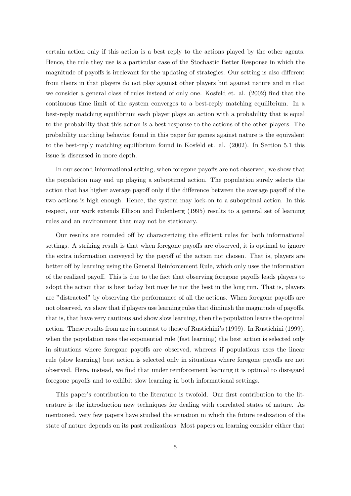certain action only if this action is a best reply to the actions played by the other agents. Hence, the rule they use is a particular case of the Stochastic Better Response in which the magnitude of payoffs is irrelevant for the updating of strategies. Our setting is also different from theirs in that players do not play against other players but against nature and in that we consider a general class of rules instead of only one. Kosfeld et. al. (2002) find that the continuous time limit of the system converges to a best-reply matching equilibrium. In a best-reply matching equilibrium each player plays an action with a probability that is equal to the probability that this action is a best response to the actions of the other players. The probability matching behavior found in this paper for games against nature is the equivalent to the best-reply matching equilibrium found in Kosfeld et. al. (2002). In Section 5.1 this issue is discussed in more depth.

In our second informational setting, when foregone payoffs are not observed, we show that the population may end up playing a suboptimal action. The population surely selects the action that has higher average payoff only if the difference between the average payoff of the two actions is high enough. Hence, the system may lock-on to a suboptimal action. In this respect, our work extends Ellison and Fudenberg (1995) results to a general set of learning rules and an environment that may not be stationary.

Our results are rounded off by characterizing the efficient rules for both informational settings. A striking result is that when foregone payoffs are observed, it is optimal to ignore the extra information conveyed by the payoff of the action not chosen. That is, players are better off by learning using the General Reinforcement Rule, which only uses the information of the realized payoff. This is due to the fact that observing foregone payoffs leads players to adopt the action that is best today but may be not the best in the long run. That is, players are "distracted" by observing the performance of all the actions. When foregone payoffs are not observed, we show that if players use learning rules that diminish the magnitude of payoffs, that is, that have very cautious and show slow learning, then the population learns the optimal action. These results from are in contrast to those of Rustichini's (1999). In Rustichini (1999), when the population uses the exponential rule (fast learning) the best action is selected only in situations where foregone payoffs are observed, whereas if populations uses the linear rule (slow learning) best action is selected only in situations where foregone payoffs are not observed. Here, instead, we find that under reinforcement learning it is optimal to disregard foregone payoffs and to exhibit slow learning in both informational settings.

This paper's contribution to the literature is twofold. Our first contribution to the literature is the introduction new techniques for dealing with correlated states of nature. As mentioned, very few papers have studied the situation in which the future realization of the state of nature depends on its past realizations. Most papers on learning consider either that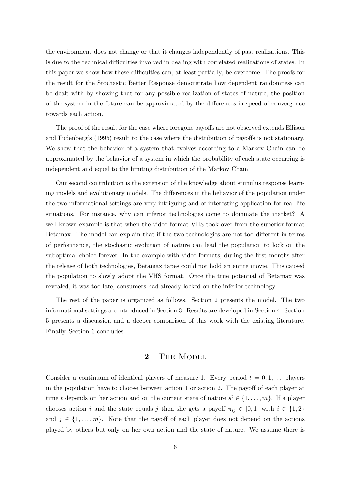the environment does not change or that it changes independently of past realizations. This is due to the technical difficulties involved in dealing with correlated realizations of states. In this paper we show how these difficulties can, at least partially, be overcome. The proofs for the result for the Stochastic Better Response demonstrate how dependent randomness can be dealt with by showing that for any possible realization of states of nature, the position of the system in the future can be approximated by the differences in speed of convergence towards each action.

The proof of the result for the case where foregone payoffs are not observed extends Ellison and Fudenberg's (1995) result to the case where the distribution of payoffs is not stationary. We show that the behavior of a system that evolves according to a Markov Chain can be approximated by the behavior of a system in which the probability of each state occurring is independent and equal to the limiting distribution of the Markov Chain.

Our second contribution is the extension of the knowledge about stimulus response learning models and evolutionary models. The differences in the behavior of the population under the two informational settings are very intriguing and of interesting application for real life situations. For instance, why can inferior technologies come to dominate the market? A well known example is that when the video format VHS took over from the superior format Betamax. The model can explain that if the two technologies are not too different in terms of performance, the stochastic evolution of nature can lead the population to lock on the suboptimal choice forever. In the example with video formats, during the first months after the release of both technologies, Betamax tapes could not hold an entire movie. This caused the population to slowly adopt the VHS format. Once the true potential of Betamax was revealed, it was too late, consumers had already locked on the inferior technology.

The rest of the paper is organized as follows. Section 2 presents the model. The two informational settings are introduced in Section 3. Results are developed in Section 4. Section 5 presents a discussion and a deeper comparison of this work with the existing literature. Finally, Section 6 concludes.

## 2 THE MODEL

Consider a continuum of identical players of measure 1. Every period  $t = 0, 1, \ldots$  players in the population have to choose between action 1 or action 2. The payoff of each player at time t depends on her action and on the current state of nature  $s^t \in \{1, \ldots, m\}$ . If a player chooses action i and the state equals j then she gets a payoff  $\pi_{ij} \in [0,1]$  with  $i \in \{1,2\}$ and  $j \in \{1, \ldots, m\}$ . Note that the payoff of each player does not depend on the actions played by others but only on her own action and the state of nature. We assume there is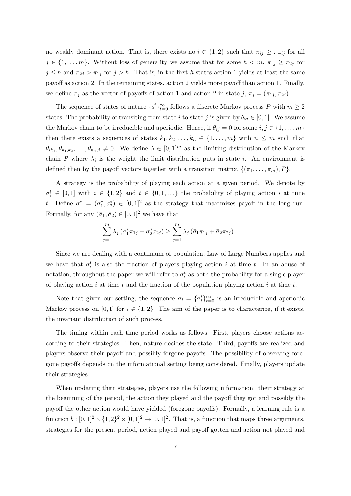no weakly dominant action. That is, there exists no  $i \in \{1,2\}$  such that  $\pi_{ij} \geq \pi_{-ij}$  for all  $j \in \{1, \ldots, m\}$ . Without loss of generality we assume that for some  $h < m$ ,  $\pi_{1j} \geq \pi_{2j}$  for  $j \leq h$  and  $\pi_{2j} > \pi_{1j}$  for  $j > h$ . That is, in the first h states action 1 yields at least the same payoff as action 2. In the remaining states, action 2 yields more payoff than action 1. Finally, we define  $\pi_j$  as the vector of payoffs of action 1 and action 2 in state j,  $\pi_j = (\pi_{1j}, \pi_{2j})$ .

The sequence of states of nature  $\{s^t\}_{t=0}^{\infty}$  follows a discrete Markov process P with  $m \geq 2$ states. The probability of transiting from state i to state j is given by  $\theta_{ij} \in [0,1]$ . We assume the Markov chain to be irreducible and aperiodic. Hence, if  $\theta_{ij} = 0$  for some  $i, j \in \{1, \ldots, m\}$ then there exists a sequences of states  $k_1, k_2, \ldots, k_n \in \{1, \ldots, m\}$  with  $n \leq m$  such that  $\theta_{ik_1}, \theta_{k_1,k_2}, \ldots, \theta_{k_n,j} \neq 0$ . We define  $\lambda \in [0,1]^m$  as the limiting distribution of the Markov chain P where  $\lambda_i$  is the weight the limit distribution puts in state i. An environment is defined then by the payoff vectors together with a transition matrix,  $\{(\pi_1, \ldots, \pi_m), P\}.$ 

A strategy is the probability of playing each action at a given period. We denote by  $\sigma_i^t \in [0,1]$  with  $i \in \{1,2\}$  and  $t \in \{0,1,\ldots\}$  the probability of playing action i at time t. Define  $\sigma^* = (\sigma_1^*, \sigma_2^*) \in [0, 1]^2$  as the strategy that maximizes payoff in the long run. Formally, for any  $(\bar{\sigma}_1, \bar{\sigma}_2) \in [0, 1]^2$  we have that

$$
\sum_{j=1}^{m} \lambda_j \left( \sigma_1^* \pi_{1j} + \sigma_2^* \pi_{2j} \right) \ge \sum_{j=1}^{m} \lambda_j \left( \bar{\sigma}_1 \pi_{1j} + \bar{\sigma}_2 \pi_{2j} \right).
$$

Since we are dealing with a continuum of population, Law of Large Numbers applies and we have that  $\sigma_i^t$  is also the fraction of players playing action i at time t. In an abuse of notation, throughout the paper we will refer to  $\sigma_i^t$  as both the probability for a single player of playing action i at time t and the fraction of the population playing action i at time t.

Note that given our setting, the sequence  $\sigma_i = {\{\sigma_i^t\}}_{t=0}^{\infty}$  is an irreducible and aperiodic Markov process on [0, 1] for  $i \in \{1,2\}$ . The aim of the paper is to characterize, if it exists, the invariant distribution of such process.

The timing within each time period works as follows. First, players choose actions according to their strategies. Then, nature decides the state. Third, payoffs are realized and players observe their payoff and possibly forgone payoffs. The possibility of observing foregone payoffs depends on the informational setting being considered. Finally, players update their strategies.

When updating their strategies, players use the following information: their strategy at the beginning of the period, the action they played and the payoff they got and possibly the payoff the other action would have yielded (foregone payoffs). Formally, a learning rule is a function  $b: [0,1]^2 \times \{1,2\}^2 \times [0,1]^2 \rightarrow [0,1]^2$ . That is, a function that maps three arguments, strategies for the present period, action played and payoff gotten and action not played and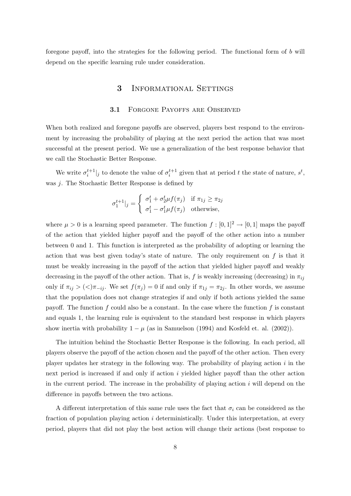foregone payoff, into the strategies for the following period. The functional form of b will depend on the specific learning rule under consideration.

## 3 INFORMATIONAL SETTINGS

#### 3.1 FORGONE PAYOFFS ARE OBSERVED

When both realized and foregone payoffs are observed, players best respond to the environment by increasing the probability of playing at the next period the action that was most successful at the present period. We use a generalization of the best response behavior that we call the Stochastic Better Response.

We write  $\sigma_i^{t+1}|_j$  to denote the value of  $\sigma_i^{t+1}$  given that at period t the state of nature,  $s^t$ , was *j*. The Stochastic Better Response is defined by

$$
\sigma_1^{t+1}|_j = \begin{cases} \sigma_1^t + \sigma_2^t \mu f(\pi_j) & \text{if } \pi_{1j} \ge \pi_{2j} \\ \sigma_1^t - \sigma_1^t \mu f(\pi_j) & \text{otherwise,} \end{cases}
$$

where  $\mu > 0$  is a learning speed parameter. The function  $f : [0,1]^2 \to [0,1]$  maps the payoff of the action that yielded higher payoff and the payoff of the other action into a number between 0 and 1. This function is interpreted as the probability of adopting or learning the action that was best given today's state of nature. The only requirement on  $f$  is that it must be weakly increasing in the payoff of the action that yielded higher payoff and weakly decreasing in the payoff of the other action. That is, f is weakly increasing (decreasing) in  $\pi_{ij}$ only if  $\pi_{ij} > \langle \langle \rangle \pi_{-ij}$ . We set  $f(\pi_j) = 0$  if and only if  $\pi_{1j} = \pi_{2j}$ . In other words, we assume that the population does not change strategies if and only if both actions yielded the same payoff. The function f could also be a constant. In the case where the function f is constant and equals 1, the learning rule is equivalent to the standard best response in which players show inertia with probability  $1 - \mu$  (as in Samuelson (1994) and Kosfeld et. al. (2002)).

The intuition behind the Stochastic Better Response is the following. In each period, all players observe the payoff of the action chosen and the payoff of the other action. Then every player updates her strategy in the following way. The probability of playing action  $i$  in the next period is increased if and only if action  $i$  yielded higher payoff than the other action in the current period. The increase in the probability of playing action  $i$  will depend on the difference in payoffs between the two actions.

A different interpretation of this same rule uses the fact that  $\sigma_i$  can be considered as the fraction of population playing action  $i$  deterministically. Under this interpretation, at every period, players that did not play the best action will change their actions (best response to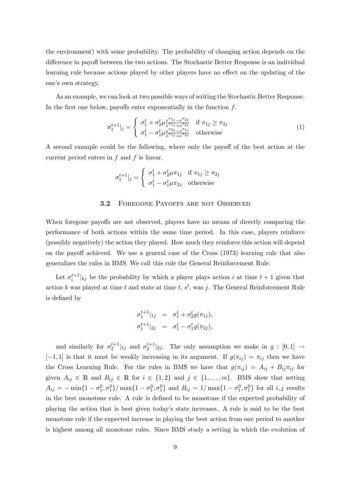the environment) with some probability. The probability of changing action depends on the difference in payoff between the two actions. The Stochastic Better Response is an individual learning rule because actions played by other players have no effect on the updating of the one's own strategy.

As an example, we can look at two possible ways of writing the Stochastic Better Response. In the first one below, payoffs enter exponentially in the function  $f$ .

$$
\sigma_1^{t+1}|_j = \begin{cases}\n\sigma_1^t + \sigma_2^t \mu \frac{e^{\pi_{1j}} - e^{\pi_{2j}}}{e^{\pi_{1j}} + e^{\pi_{2j}}} & \text{if } \pi_{1j} \ge \pi_{2j} \\
\sigma_1^t - \sigma_1^t \mu \frac{e^{\pi_{2j}} - e^{\pi_{1j}}}{e^{\pi_{1j}} + e^{\pi_{2j}}} & \text{otherwise}\n\end{cases}
$$
\n(1)

A second example could be the following, where only the payoff of the best action at the current period enters in  $f$  and  $f$  is linear.

$$
\sigma_1^{t+1}|_j = \begin{cases} \sigma_1^t + \sigma_2^t \mu \pi_{1j} & \text{if } \pi_{1j} \ge \pi_{2j} \\ \sigma_1^t - \sigma_1^t \mu \pi_{2j} & \text{otherwise} \end{cases}
$$

#### 3.2 FOREGONE PAYOFFS ARE NOT OBSERVED

When foregone payoffs are not observed, players have no means of directly comparing the performance of both actions within the same time period. In this case, players reinforce (possibly negatively) the action they played. How much they reinforce this action will depend on the payoff achieved. We use a general case of the Cross (1973) learning rule that also generalizes the rules in BMS. We call this rule the General Reinforcement Rule.

Let  $\sigma_i^{t+1}|_{kj}$  be the probability by which a player plays action i at time  $t+1$  given that action k was played at time t and state at time t,  $s^t$ , was j. The General Reinforcement Rule is defined by

$$
\begin{array}{rcl}\n\sigma_1^{t+1}|_{1j} & = & \sigma_1^t + \sigma_2^t g(\pi_{1j}), \\
\sigma_1^{t+1}|_{2j} & = & \sigma_1^t - \sigma_1^t g(\pi_{2j}),\n\end{array}
$$

and similarly for  $\sigma_2^{t+1}|_{1j}$  and  $\sigma_2^{t+1}|_{2j}$ . The only assumption we make in  $g : [0,1] \rightarrow$ [-1, 1] is that it must be weakly increasing in its argument. If  $g(\pi_{ij}) = \pi_{ij}$  then we have the Cross Learning Rule. For the rules in BMS we have that  $g(\pi_{ij}) = A_{ij} + B_{ij}\pi_{ij}$  for given  $A_{ij} \in \mathbb{R}$  and  $B_{ij} \in \mathbb{R}$  for  $i \in \{1, 2\}$  and  $j \in \{1, ..., m\}$ . BMS show that setting  $A_{ij} = -\min\{1 - \sigma_1^0, \sigma_1^0\} / \max\{1 - \sigma_1^0, \sigma_1^0\}$  and  $B_{ij} = 1 / \max\{1 - \sigma_1^0, \sigma_1^0\}$  for all  $i, j$  results in the best monotone rule. A rule is defined to be monotone if the expected probability of playing the action that is best given today's state increases. A rule is said to be the best monotone rule if the expected increase in playing the best action from one period to another is highest among all monotone rules. Since BMS study a setting in which the evolution of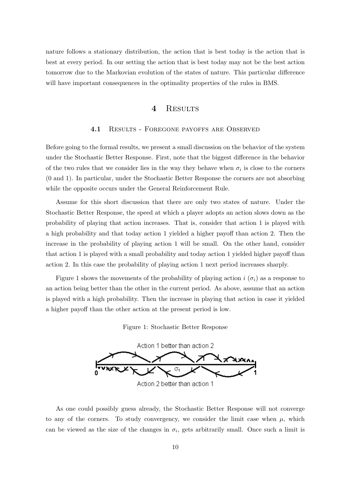nature follows a stationary distribution, the action that is best today is the action that is best at every period. In our setting the action that is best today may not be the best action tomorrow due to the Markovian evolution of the states of nature. This particular difference will have important consequences in the optimality properties of the rules in BMS.

### 4 RESULTS

#### 4.1 RESULTS - FOREGONE PAYOFFS ARE OBSERVED

Before going to the formal results, we present a small discussion on the behavior of the system under the Stochastic Better Response. First, note that the biggest difference in the behavior of the two rules that we consider lies in the way they behave when  $\sigma_i$  is close to the corners (0 and 1). In particular, under the Stochastic Better Response the corners are not absorbing while the opposite occurs under the General Reinforcement Rule.

Assume for this short discussion that there are only two states of nature. Under the Stochastic Better Response, the speed at which a player adopts an action slows down as the probability of playing that action increases. That is, consider that action 1 is played with a high probability and that today action 1 yielded a higher payoff than action 2. Then the increase in the probability of playing action 1 will be small. On the other hand, consider that action 1 is played with a small probability and today action 1 yielded higher payoff than action 2. In this case the probability of playing action 1 next period increases sharply.

Figure 1 shows the movements of the probability of playing action  $i(\sigma_i)$  as a response to an action being better than the other in the current period. As above, assume that an action is played with a high probability. Then the increase in playing that action in case it yielded a higher payoff than the other action at the present period is low.

Figure 1: Stochastic Better Response



Action 2 better than action 1

As one could possibly guess already, the Stochastic Better Response will not converge to any of the corners. To study convergency, we consider the limit case when  $\mu$ , which can be viewed as the size of the changes in  $\sigma_i$ , gets arbitrarily small. Once such a limit is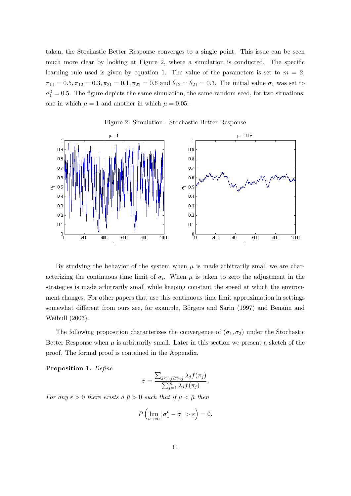taken, the Stochastic Better Response converges to a single point. This issue can be seen much more clear by looking at Figure 2, where a simulation is conducted. The specific learning rule used is given by equation 1. The value of the parameters is set to  $m = 2$ ,  $\pi_{11} = 0.5, \pi_{12} = 0.3, \pi_{21} = 0.1, \pi_{22} = 0.6$  and  $\theta_{12} = \theta_{21} = 0.3$ . The initial value  $\sigma_1$  was set to  $\sigma_1^0 = 0.5$ . The figure depicts the same simulation, the same random seed, for two situations: one in which  $\mu = 1$  and another in which  $\mu = 0.05$ .

 $\mu = 1$  $\mu = 0.05$  $0.9$  $0.9$  $0.8$  $0.8$  $0.7$  $0.7$  $0.6$  $0.6$  $50.5$  $50.5$  $0.4$  $0.4$  $0.3$  $0.3$  $0.2$  $0.2$  $0.1$  $0.1$ 

1000

800

Figure 2: Simulation - Stochastic Better Response

By studying the behavior of the system when  $\mu$  is made arbitrarily small we are characterizing the continuous time limit of  $\sigma_i$ . When  $\mu$  is taken to zero the adjustment in the strategies is made arbitrarily small while keeping constant the speed at which the environment changes. For other papers that use this continuous time limit approximation in settings somewhat different from ours see, for example, Börgers and Sarin (1997) and Benaïm and Weibull (2003).

 $\frac{1}{10}$ 

200

400

600

800

1000

The following proposition characterizes the convergence of  $(\sigma_1, \sigma_2)$  under the Stochastic Better Response when  $\mu$  is arbitrarily small. Later in this section we present a sketch of the proof. The formal proof is contained in the Appendix.

Proposition 1. Define

 $\frac{1}{10}$ 

200

400

 $\mathfrak{t}$ 

600

$$
\tilde{\sigma} = \frac{\sum_{j:\pi_{1j}\geq \pi_{2j}} \lambda_j f(\pi_j)}{\sum_{j=1}^m \lambda_j f(\pi_j)}.
$$

For any  $\varepsilon > 0$  there exists a  $\bar{\mu} > 0$  such that if  $\mu < \bar{\mu}$  then

$$
P\left(\lim_{t\to\infty}\left|\sigma_1^t-\tilde{\sigma}\right|>\varepsilon\right)=0.
$$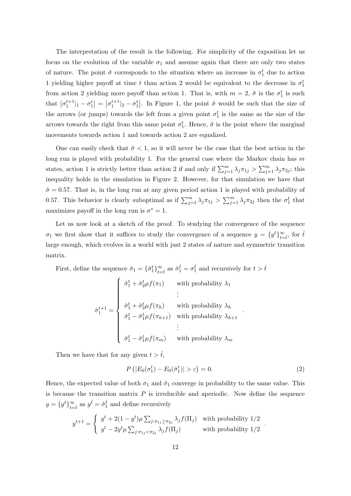The interpretation of the result is the following. For simplicity of the exposition let us focus on the evolution of the variable  $\sigma_1$  and assume again that there are only two states of nature. The point  $\tilde{\sigma}$  corresponds to the situation where an increase in  $\sigma_1^t$  due to action 1 yielding higher payoff at time t than action 2 would be equivalent to the decrease in  $\sigma_1^t$ from action 2 yielding more payoff than action 1. That is, with  $m = 2$ ,  $\tilde{\sigma}$  is the  $\sigma_1^t$  is such that  $|\sigma_1^{t+1}|_1 - \sigma_1^t| = |\sigma_1^{t+1}|_2 - \sigma_1^t|$ . In Figure 1, the point  $\tilde{\sigma}$  would be such that the size of the arrows (or jumps) towards the left from a given point  $\sigma_1^t$  is the same as the size of the arrows towards the right from this same point  $\sigma_1^t$ . Hence,  $\tilde{\sigma}$  is the point where the marginal movements towards action 1 and towards action 2 are equalized.

One can easily check that  $\tilde{\sigma} < 1$ , so it will never be the case that the best action in the long run is played with probability 1. For the general case where the Markov chain has  $m$ states, action 1 is strictly better than action 2 if and only if  $\sum_{j=1}^{m} \lambda_j \pi_{1j} > \sum_{j=1}^{m} \lambda_j \pi_{2j}$ ; this inequality holds in the simulation in Figure 2. However, for that simulation we have that  $\tilde{\sigma} = 0.57$ . That is, in the long run at any given period action 1 is played with probability of 0.57. This behavior is clearly suboptimal as if  $\sum_{j=1}^{m} \lambda_j \pi_{1j} > \sum_{j=1}^{m} \lambda_j \pi_{2j}$  then the  $\sigma_1^t$  that maximizes payoff in the long run is  $\sigma^* = 1$ .

Let us now look at a sketch of the proof. To studying the convergence of the sequence  $\sigma_1$  we first show that it suffices to study the convergence of a sequence  $y = \{y^t\}_{t=\hat{t}}^{\infty}$ , for  $\hat{t}$ large enough, which evolves in a world with just 2 states of nature and symmetric transition matrix.

First, define the sequence  $\hat{\sigma}_1 = \{\hat{\sigma}_1^t\}_{t=\hat{t}}^{\infty}$  as  $\hat{\sigma}_1^{\hat{t}} = \sigma_1^{\hat{t}}$  and recursively for  $t > \hat{t}$ 

$$
\hat{\sigma}_1^{t+1} = \begin{cases}\n\hat{\sigma}_1^t + \hat{\sigma}_2^t \mu f(\pi_1) & \text{with probability } \lambda_1 \\
\vdots \\
\hat{\sigma}_1^t + \hat{\sigma}_2^t \mu f(\pi_h) & \text{with probability } \lambda_h \\
\hat{\sigma}_1^t - \hat{\sigma}_1^t \mu f(\pi_{h+1}) & \text{with probability } \lambda_{h+1} \\
\vdots \\
\hat{\sigma}_1^t - \hat{\sigma}_1^t \mu f(\pi_m) & \text{with probability } \lambda_m\n\end{cases}
$$

Then we have that for any given  $t > \hat{t}$ ,

$$
P\left(|E_0(\sigma_1^t) - E_0(\hat{\sigma}_1^t)| > \varepsilon\right) = 0.
$$
\n<sup>(2)</sup>

.

Hence, the expected value of both  $\sigma_1$  and  $\hat{\sigma}_1$  converge in probability to the same value. This is because the transition matrix  $P$  is irreducible and aperiodic. Now define the sequence  $y = \{y^t\}_{t=\hat{t}}^{\infty}$  as  $y^{\hat{t}} = \hat{\sigma}_1^{\hat{t}}$  and define recursively

$$
y^{t+1} = \begin{cases} y^t + 2(1 - y^t)\mu \sum_{j: \pi_{1j} \ge \pi_{2j}} \lambda_j f(\Pi_j) & \text{with probability } 1/2 \\ y^t - 2y^t \mu \sum_{j: \pi_{1j} < \pi_{2j}} \lambda_j f(\Pi_j) & \text{with probability } 1/2 \end{cases}
$$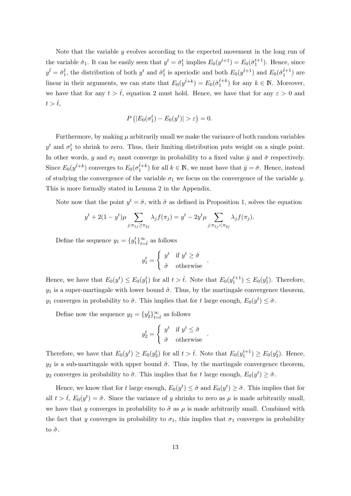Note that the variable  $y$  evolves according to the expected movement in the long run of the variable  $\hat{\sigma}_1$ . It can be easily seen that  $y^t = \hat{\sigma}_1^t$  implies  $E_0(y^{t+1}) = E_0(\hat{\sigma}_1^{t+1})$ . Hence, since  $y^{\hat{t}} = \hat{\sigma}_1^{\hat{t}}$ , the distribution of both  $y^t$  and  $\hat{\sigma}_1^t$  is aperiodic and both  $E_0(y^{\hat{t}+1})$  and  $E_0(\hat{\sigma}_1^{\hat{t}+1})$  are linear in their arguments, we can state that  $E_0(y^{\hat{t}+k}) = E_0(\hat{\sigma}_1^{\hat{t}+k})$  for any  $k \in \mathbb{N}$ . Moreover, we have that for any  $t > \hat{t}$ , equation 2 must hold. Hence, we have that for any  $\varepsilon > 0$  and  $t > \hat{t}$ ,

$$
P(|E_0(\sigma_1^t) - E_0(y^t)| > \varepsilon) = 0.
$$

Furthermore, by making  $\mu$  arbitrarily small we make the variance of both random variables  $y<sup>t</sup>$  and  $\sigma_1<sup>t</sup>$  to shrink to zero. Thus, their limiting distribution puts weight on a single point. In other words, y and  $\sigma_1$  must converge in probability to a fixed value  $\bar{y}$  and  $\bar{\sigma}$  respectively. Since  $E_0(y^{\hat{t}+k})$  converges to  $E_0(\sigma_1^{\hat{t}+k})$  for all  $k \in \mathbb{N}$ , we must have that  $\bar{y} = \bar{\sigma}$ . Hence, instead of studying the convergence of the variable  $\sigma_1$  we focus on the convergence of the variable y. This is more formally stated in Lemma 2 in the Appendix.

Note now that the point  $y^t = \tilde{\sigma}$ , with  $\tilde{\sigma}$  as defined in Proposition 1, solves the equation

$$
y^{t} + 2(1 - y^{t})\mu \sum_{j:\pi_{1j} \geq \pi_{2j}} \lambda_{j} f(\pi_{j}) = y^{t} - 2y^{t} \mu \sum_{j:\pi_{1j} < \pi_{2j}} \lambda_{j} f(\pi_{j}).
$$

Define the sequence  $y_1 = \{y_1^t\}_{t=\hat{t}}^{\infty}$  as follows

$$
y_1^t = \begin{cases} y^t & \text{if } y^t \ge \tilde{\sigma} \\ \tilde{\sigma} & \text{otherwise} \end{cases}
$$

.

Hence, we have that  $E_0(y^t) \le E_0(y_1^t)$  for all  $t > \hat{t}$ . Note that  $E_0(y_1^{t+1}) \le E_0(y_1^t)$ . Therefore,  $y_1$  is a super-martingale with lower bound  $\tilde{\sigma}$ . Thus, by the martingale convergence theorem,  $y_1$  converges in probability to  $\tilde{\sigma}$ . This implies that for t large enough,  $E_0(y^t) \leq \tilde{\sigma}$ .

Define now the sequence  $y_2 = \{y_2^t\}_{t=\hat{t}}^{\infty}$  as follows

$$
y_2^t = \begin{cases} y^t & \text{if } y^t \leq \tilde{\sigma} \\ \tilde{\sigma} & \text{otherwise} \end{cases} .
$$

Therefore, we have that  $E_0(y^t) \ge E_0(y_2^t)$  for all  $t > \hat{t}$ . Note that  $E_0(y_1^{t+1}) \ge E_0(y_2^t)$ . Hence,  $y_2$  is a sub-martingale with upper bound  $\tilde{\sigma}$ . Thus, by the martingale convergence theorem, y<sub>2</sub> converges in probability to  $\tilde{\sigma}$ . This implies that for t large enough,  $E_0(y^t) \geq \tilde{\sigma}$ .

Hence, we know that for t large enough,  $E_0(y^t) \leq \tilde{\sigma}$  and  $E_0(y^t) \geq \tilde{\sigma}$ . This implies that for all  $t > \hat{t}$ ,  $E_0(y^t) = \tilde{\sigma}$ . Since the variance of y shrinks to zero as  $\mu$  is made arbitrarily small, we have that y converges in probability to  $\tilde{\sigma}$  as  $\mu$  is made arbitrarily small. Combined with the fact that y converges in probability to  $\sigma_1$ , this implies that  $\sigma_1$  converges in probability to  $\tilde{\sigma}$ .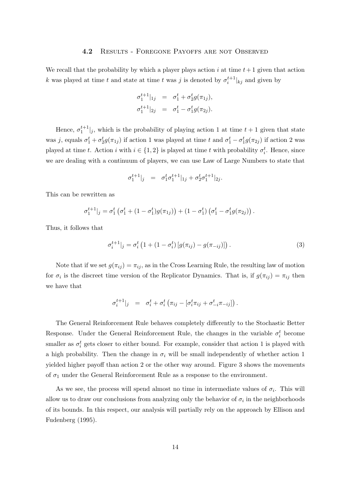#### 4.2 Results - Foregone Payoffs are not Observed

We recall that the probability by which a player plays action i at time  $t+1$  given that action k was played at time t and state at time t was j is denoted by  $\sigma_i^{t+1}|_{kj}$  and given by

$$
\sigma_1^{t+1}|_{1j} = \sigma_1^t + \sigma_2^t g(\pi_{1j}),
$$
  

$$
\sigma_1^{t+1}|_{2j} = \sigma_1^t - \sigma_1^t g(\pi_{2j}).
$$

Hence,  $\sigma_1^{t+1}|_j$ , which is the probability of playing action 1 at time  $t+1$  given that state was j, equals  $\sigma_1^t + \sigma_2^t g(\pi_{1j})$  if action 1 was played at time t and  $\sigma_1^t - \sigma_1^t g(\pi_{2j})$  if action 2 was played at time t. Action i with  $i \in \{1, 2\}$  is played at time t with probability  $\sigma_i^t$ . Hence, since we are dealing with a continuum of players, we can use Law of Large Numbers to state that

$$
\sigma_1^{t+1}|_j = \sigma_1^t \sigma_1^{t+1}|_{1j} + \sigma_2^t \sigma_1^{t+1}|_{2j}.
$$

This can be rewritten as

$$
\sigma_1^{t+1}|_j = \sigma_1^t \left( \sigma_1^t + (1 - \sigma_1^t) g(\pi_{1j}) \right) + (1 - \sigma_1^t) \left( \sigma_1^t - \sigma_1^t g(\pi_{2j}) \right).
$$

Thus, it follows that

$$
\sigma_i^{t+1}|_j = \sigma_i^t \left( 1 + (1 - \sigma_i^t) \left[ g(\pi_{ij}) - g(\pi_{-ij}) \right] \right). \tag{3}
$$

Note that if we set  $g(\pi_{ij}) = \pi_{ij}$ , as in the Cross Learning Rule, the resulting law of motion for  $\sigma_i$  is the discreet time version of the Replicator Dynamics. That is, if  $g(\pi_{ij}) = \pi_{ij}$  then we have that

$$
\sigma_i^{t+1}|_j = \sigma_i^t + \sigma_i^t \left( \pi_{ij} - \left[ \sigma_i^t \pi_{ij} + \sigma_{-i}^t \pi_{-ij} \right] \right).
$$

The General Reinforcement Rule behaves completely differently to the Stochastic Better Response. Under the General Reinforcement Rule, the changes in the variable  $\sigma_i^t$  become smaller as  $\sigma_i^t$  gets closer to either bound. For example, consider that action 1 is played with a high probability. Then the change in  $\sigma_i$  will be small independently of whether action 1 yielded higher payoff than action 2 or the other way around. Figure 3 shows the movements of  $\sigma_1$  under the General Reinforcement Rule as a response to the environment.

As we see, the process will spend almost no time in intermediate values of  $\sigma_i$ . This will allow us to draw our conclusions from analyzing only the behavior of  $\sigma_i$  in the neighborhoods of its bounds. In this respect, our analysis will partially rely on the approach by Ellison and Fudenberg (1995).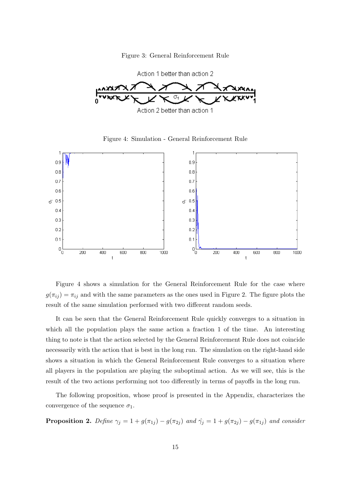Figure 3: General Reinforcement Rule



Figure 4: Simulation - General Reinforcement Rule



Figure 4 shows a simulation for the General Reinforcement Rule for the case where  $g(\pi_{ij}) = \pi_{ij}$  and with the same parameters as the ones used in Figure 2. The figure plots the result of the same simulation performed with two different random seeds.

It can be seen that the General Reinforcement Rule quickly converges to a situation in which all the population plays the same action a fraction 1 of the time. An interesting thing to note is that the action selected by the General Reinforcement Rule does not coincide necessarily with the action that is best in the long run. The simulation on the right-hand side shows a situation in which the General Reinforcement Rule converges to a situation where all players in the population are playing the suboptimal action. As we will see, this is the result of the two actions performing not too differently in terms of payoffs in the long run.

The following proposition, whose proof is presented in the Appendix, characterizes the convergence of the sequence  $\sigma_1$ .

**Proposition 2.** Define  $\gamma_j = 1 + g(\pi_{1j}) - g(\pi_{2j})$  and  $\hat{\gamma}_j = 1 + g(\pi_{2j}) - g(\pi_{1j})$  and consider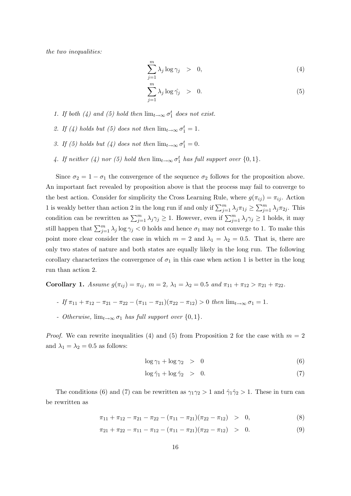the two inequalities:

$$
\sum_{j=1}^{m} \lambda_j \log \gamma_j > 0, \tag{4}
$$

$$
\sum_{j=1}^{m} \lambda_j \log \hat{\gamma}_j > 0.
$$
 (5)

- 1. If both (4) and (5) hold then  $\lim_{t\to\infty} \sigma_1^t$  does not exist.
- 2. If (4) holds but (5) does not then  $\lim_{t\to\infty} \sigma_1^t = 1$ .
- 3. If (5) holds but (4) does not then  $\lim_{t\to\infty} \sigma_1^t = 0$ .
- 4. If neither (4) nor (5) hold then  $\lim_{t\to\infty} \sigma_1^t$  has full support over  $\{0,1\}$ .

Since  $\sigma_2 = 1 - \sigma_1$  the convergence of the sequence  $\sigma_2$  follows for the proposition above. An important fact revealed by proposition above is that the process may fail to converge to the best action. Consider for simplicity the Cross Learning Rule, where  $g(\pi_{ij}) = \pi_{ij}$ . Action 1 is weakly better than action 2 in the long run if and only if  $\sum_{j=1}^{m} \lambda_j \pi_{1j} \ge \sum_{j=1}^{m} \lambda_j \pi_{2j}$ . This condition can be rewritten as  $\sum_{j=1}^{m} \lambda_j \gamma_j \geq 1$ . However, even if  $\sum_{j=1}^{m} \lambda_j \gamma_j \geq 1$  holds, it may still happen that  $\sum_{j=1}^{m} \lambda_j \log \gamma_j < 0$  holds and hence  $\sigma_1$  may not converge to 1. To make this point more clear consider the case in which  $m = 2$  and  $\lambda_1 = \lambda_2 = 0.5$ . That is, there are only two states of nature and both states are equally likely in the long run. The following corollary characterizes the convergence of  $\sigma_1$  in this case when action 1 is better in the long run than action 2.

Corollary 1. Assume  $g(\pi_{ij}) = \pi_{ij}$ ,  $m = 2$ ,  $\lambda_1 = \lambda_2 = 0.5$  and  $\pi_{11} + \pi_{12} > \pi_{21} + \pi_{22}$ .

$$
- If \pi_{11} + \pi_{12} - \pi_{21} - \pi_{22} - (\pi_{11} - \pi_{21})(\pi_{22} - \pi_{12}) > 0 then \lim_{t \to \infty} \sigma_1 = 1.
$$

- Otherwise,  $\lim_{t\to\infty} \sigma_1$  has full support over  $\{0,1\}$ .

*Proof.* We can rewrite inequalities (4) and (5) from Proposition 2 for the case with  $m = 2$ and  $\lambda_1 = \lambda_2 = 0.5$  as follows:

$$
\log \gamma_1 + \log \gamma_2 > 0 \tag{6}
$$

$$
\log \hat{\gamma}_1 + \log \hat{\gamma}_2 > 0. \tag{7}
$$

The conditions (6) and (7) can be rewritten as  $\gamma_1 \gamma_2 > 1$  and  $\hat{\gamma}_1 \hat{\gamma}_2 > 1$ . These in turn can be rewritten as

$$
\pi_{11} + \pi_{12} - \pi_{21} - \pi_{22} - (\pi_{11} - \pi_{21})(\pi_{22} - \pi_{12}) > 0, \tag{8}
$$

$$
\pi_{21} + \pi_{22} - \pi_{11} - \pi_{12} - (\pi_{11} - \pi_{21})(\pi_{22} - \pi_{12}) > 0.
$$
 (9)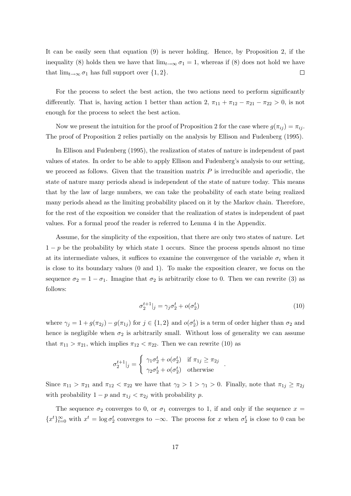It can be easily seen that equation (9) is never holding. Hence, by Proposition 2, if the inequality (8) holds then we have that  $\lim_{t\to\infty} \sigma_1 = 1$ , whereas if (8) does not hold we have that  $\lim_{t\to\infty} \sigma_1$  has full support over  $\{1,2\}.$  $\Box$ 

For the process to select the best action, the two actions need to perform significantly differently. That is, having action 1 better than action 2,  $\pi_{11} + \pi_{12} - \pi_{21} - \pi_{22} > 0$ , is not enough for the process to select the best action.

Now we present the intuition for the proof of Proposition 2 for the case where  $g(\pi_{ij}) = \pi_{ij}$ . The proof of Proposition 2 relies partially on the analysis by Ellison and Fudenberg (1995).

In Ellison and Fudenberg (1995), the realization of states of nature is independent of past values of states. In order to be able to apply Ellison and Fudenberg's analysis to our setting, we proceed as follows. Given that the transition matrix  $P$  is irreducible and aperiodic, the state of nature many periods ahead is independent of the state of nature today. This means that by the law of large numbers, we can take the probability of each state being realized many periods ahead as the limiting probability placed on it by the Markov chain. Therefore, for the rest of the exposition we consider that the realization of states is independent of past values. For a formal proof the reader is referred to Lemma 4 in the Appendix.

Assume, for the simplicity of the exposition, that there are only two states of nature. Let  $1-p$  be the probability by which state 1 occurs. Since the process spends almost no time at its intermediate values, it suffices to examine the convergence of the variable  $\sigma_i$  when it is close to its boundary values (0 and 1). To make the exposition clearer, we focus on the sequence  $\sigma_2 = 1 - \sigma_1$ . Imagine that  $\sigma_2$  is arbitrarily close to 0. Then we can rewrite (3) as follows:

$$
\sigma_2^{t+1}|_j = \gamma_j \sigma_2^t + o(\sigma_2^t)
$$
\n<sup>(10)</sup>

.

where  $\gamma_j = 1 + g(\pi_{2j}) - g(\pi_{1j})$  for  $j \in \{1, 2\}$  and  $o(\sigma_2^t)$  is a term of order higher than  $\sigma_2$  and hence is negligible when  $\sigma_2$  is arbitrarily small. Without loss of generality we can assume that  $\pi_{11} > \pi_{21}$ , which implies  $\pi_{12} < \pi_{22}$ . Then we can rewrite (10) as

$$
\sigma_2^{t+1}|_j = \begin{cases} \gamma_1 \sigma_2^t + o(\sigma_2^t) & \text{if } \pi_{1j} \ge \pi_{2j} \\ \gamma_2 \sigma_2^t + o(\sigma_2^t) & \text{otherwise} \end{cases}
$$

Since  $\pi_{11} > \pi_{21}$  and  $\pi_{12} < \pi_{22}$  we have that  $\gamma_2 > 1 > \gamma_1 > 0$ . Finally, note that  $\pi_{1j} \geq \pi_{2j}$ with probability  $1 - p$  and  $\pi_{1j} < \pi_{2j}$  with probability p.

The sequence  $\sigma_2$  converges to 0, or  $\sigma_1$  converges to 1, if and only if the sequence  $x =$  ${x^t}_{t=0}^{\infty}$  with  $x^t = \log \sigma_2^t$  converges to  $-\infty$ . The process for x when  $\sigma_2^t$  is close to 0 can be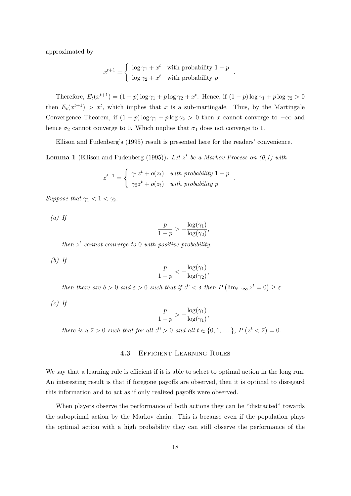approximated by

$$
x^{t+1} = \begin{cases} \log \gamma_1 + x^t & \text{with probability } 1 - p \\ \log \gamma_2 + x^t & \text{with probability } p \end{cases}
$$

.

.

Therefore,  $E_t(x^{t+1}) = (1-p) \log \gamma_1 + p \log \gamma_2 + x^t$ . Hence, if  $(1-p) \log \gamma_1 + p \log \gamma_2 > 0$ then  $E_t(x^{t+1}) > x^t$ , which implies that x is a sub-martingale. Thus, by the Martingale Convergence Theorem, if  $(1 - p) \log \gamma_1 + p \log \gamma_2 > 0$  then x cannot converge to  $-\infty$  and hence  $\sigma_2$  cannot converge to 0. Which implies that  $\sigma_1$  does not converge to 1.

Ellison and Fudenberg's (1995) result is presented here for the readers' convenience.

**Lemma 1** (Ellison and Fudenberg (1995)). Let  $z^t$  be a Markov Process on  $(0,1)$  with

$$
z^{t+1} = \begin{cases} \gamma_1 z^t + o(z_t) & \text{with probability } 1 - p \\ \gamma_2 z^t + o(z_t) & \text{with probability } p \end{cases}
$$

Suppose that  $\gamma_1 < 1 < \gamma_2$ .

 $(a)$  If

$$
\frac{p}{1-p} > -\frac{\log(\gamma_1)}{\log(\gamma_2)},
$$

then  $z^t$  cannot converge to 0 with positive probability.

 $(b)$  If

$$
\frac{p}{1-p} < -\frac{\log(\gamma_1)}{\log(\gamma_2)},
$$

then there are  $\delta > 0$  and  $\varepsilon > 0$  such that if  $z^0 < \delta$  then  $P(\lim_{t \to \infty} z^t = 0) \geq \varepsilon$ .

 $(c)$  If

$$
\frac{p}{1-p} > -\frac{\log(\gamma_1)}{\log(\gamma_1)},
$$

there is a  $\bar{z} > 0$  such that for all  $z^0 > 0$  and all  $t \in \{0, 1, \dots\}$ ,  $P(z^t < \bar{z}) = 0$ .

## 4.3 Efficient Learning Rules

We say that a learning rule is efficient if it is able to select to optimal action in the long run. An interesting result is that if foregone payoffs are observed, then it is optimal to disregard this information and to act as if only realized payoffs were observed.

When players observe the performance of both actions they can be "distracted" towards the suboptimal action by the Markov chain. This is because even if the population plays the optimal action with a high probability they can still observe the performance of the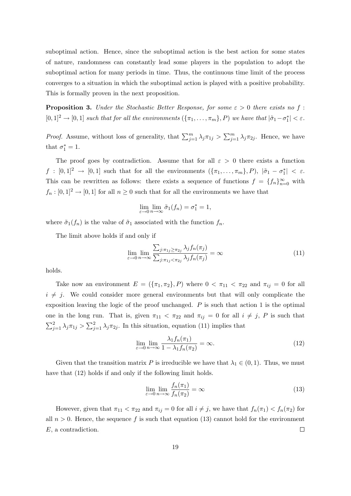suboptimal action. Hence, since the suboptimal action is the best action for some states of nature, randomness can constantly lead some players in the population to adopt the suboptimal action for many periods in time. Thus, the continuous time limit of the process converges to a situation in which the suboptimal action is played with a positive probability. This is formally proven in the next proposition.

**Proposition 3.** Under the Stochastic Better Response, for some  $\varepsilon > 0$  there exists no f:  $[0,1]^2 \to [0,1]$  such that for all the environments  $(\{\pi_1,\ldots,\pi_m\},P)$  we have that  $|\tilde{\sigma}_1-\sigma_1^*| < \varepsilon$ .

*Proof.* Assume, without loss of generality, that  $\sum_{j=1}^{m} \lambda_j \pi_{1j} > \sum_{j=1}^{m} \lambda_j \pi_{2j}$ . Hence, we have that  $\sigma_1^* = 1$ .

The proof goes by contradiction. Assume that for all  $\varepsilon > 0$  there exists a function  $f : [0,1]^2 \to [0,1]$  such that for all the environments  $(\{\pi_1,\ldots,\pi_m\},P)$ ,  $|\tilde{\sigma}_1 - \sigma_1^*| < \varepsilon$ . This can be rewritten as follows: there exists a sequence of functions  $f = \{f_n\}_{n=0}^{\infty}$  with  $f_n : [0,1]^2 \to [0,1]$  for all  $n \geq 0$  such that for all the environments we have that

$$
\lim_{\varepsilon \to 0} \lim_{n \to \infty} \tilde{\sigma}_1(f_n) = \sigma_1^* = 1,
$$

where  $\tilde{\sigma}_1(f_n)$  is the value of  $\tilde{\sigma}_1$  associated with the function  $f_n$ .

The limit above holds if and only if

$$
\lim_{\varepsilon \to 0} \lim_{n \to \infty} \frac{\sum_{j:\pi_{1j} \ge \pi_{2j}} \lambda_j f_n(\pi_j)}{\sum_{j:\pi_{1j} < \pi_{2j}} \lambda_j f_n(\pi_j)} = \infty \tag{11}
$$

holds.

Take now an environment  $E = (\{\pi_1, \pi_2\}, P)$  where  $0 < \pi_{11} < \pi_{22}$  and  $\pi_{ij} = 0$  for all  $i \neq j$ . We could consider more general environments but that will only complicate the exposition leaving the logic of the proof unchanged. P is such that action 1 is the optimal one in the long run. That is, given  $\pi_{11} < \pi_{22}$  and  $\pi_{ij} = 0$  for all  $i \neq j$ , P is such that  $\sum_{j=1}^2 \lambda_j \pi_{1j} > \sum_{j=1}^2 \lambda_j \pi_{2j}$ . In this situation, equation (11) implies that

$$
\lim_{\varepsilon \to 0} \lim_{n \to \infty} \frac{\lambda_1 f_n(\pi_1)}{1 - \lambda_1 f_n(\pi_2)} = \infty.
$$
\n(12)

Given that the transition matrix P is irreducible we have that  $\lambda_1 \in (0,1)$ . Thus, we must have that  $(12)$  holds if and only if the following limit holds.

$$
\lim_{\varepsilon \to 0} \lim_{n \to \infty} \frac{f_n(\pi_1)}{f_n(\pi_2)} = \infty
$$
\n(13)

However, given that  $\pi_{11} < \pi_{22}$  and  $\pi_{ij} = 0$  for all  $i \neq j$ , we have that  $f_n(\pi_1) < f_n(\pi_2)$  for all  $n > 0$ . Hence, the sequence f is such that equation (13) cannot hold for the environment E, a contradiction.  $\Box$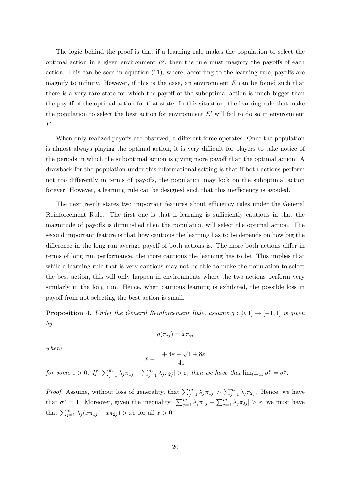The logic behind the proof is that if a learning rule makes the population to select the optimal action in a given environment  $E'$ , then the rule must magnify the payoffs of each action. This can be seen in equation (11), where, according to the learning rule, payoffs are magnify to infinity. However, if this is the case, an environment  $E$  can be found such that there is a very rare state for which the payoff of the suboptimal action is much bigger than the payoff of the optimal action for that state. In this situation, the learning rule that make the population to select the best action for environment  $E'$  will fail to do so in environment E.

When only realized payoffs are observed, a different force operates. Once the population is almost always playing the optimal action, it is very difficult for players to take notice of the periods in which the suboptimal action is giving more payoff than the optimal action. A drawback for the population under this informational setting is that if both actions perform not too differently in terms of payoffs, the population may lock on the suboptimal action forever. However, a learning rule can be designed such that this inefficiency is avoided.

The next result states two important features about efficiency rules under the General Reinforcement Rule. The first one is that if learning is sufficiently cautious in that the magnitude of payoffs is diminished then the population will select the optimal action. The second important feature is that how cautious the learning has to be depends on how big the difference in the long run average payoff of both actions is. The more both actions differ in terms of long run performance, the more cautious the learning has to be. This implies that while a learning rule that is very cautious may not be able to make the population to select the best action, this will only happen in environments where the two actions perform very similarly in the long run. Hence, when cautious learning is exhibited, the possible loss in payoff from not selecting the best action is small.

**Proposition 4.** Under the General Reinforcement Rule, assume  $g : [0, 1] \rightarrow [-1, 1]$  is given by

$$
g(\pi_{ij}) = x\pi_{ij}
$$

where

$$
x = \frac{1 + 4\varepsilon - \sqrt{1 + 8\varepsilon}}{4\varepsilon}
$$

for some  $\varepsilon > 0$ . If  $|\sum_{j=1}^m \lambda_j \pi_{1j} - \sum_{j=1}^m \lambda_j \pi_{2j}| > \varepsilon$ , then we have that  $\lim_{t \to \infty} \sigma_1^t = \sigma_1^*$ .

*Proof.* Assume, without loss of generality, that  $\sum_{j=1}^{m} \lambda_j \pi_{1j} > \sum_{j=1}^{m} \lambda_j \pi_{2j}$ . Hence, we have that  $\sigma_1^* = 1$ . Moreover, given the inequality  $\left|\sum_{j=1}^m \lambda_j \pi_{1j} - \sum_{j=1}^m \lambda_j \pi_{2j}\right| > \varepsilon$ , we must have that  $\sum_{j=1}^{m} \lambda_j (x \pi_{1j} - x \pi_{2j}) > x \varepsilon$  for all  $x > 0$ .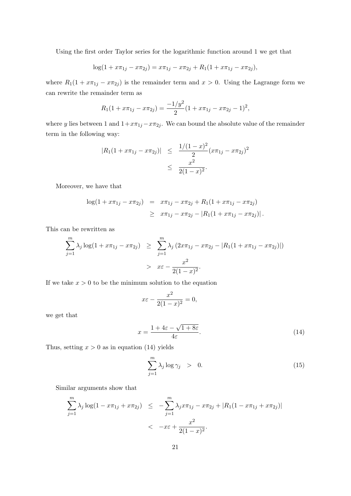Using the first order Taylor series for the logarithmic function around 1 we get that

$$
log(1 + x\pi_{1j} - x\pi_{2j}) = x\pi_{1j} - x\pi_{2j} + R_1(1 + x\pi_{1j} - x\pi_{2j}),
$$

where  $R_1(1 + x\pi_{1j} - x\pi_{2j})$  is the remainder term and  $x > 0$ . Using the Lagrange form we can rewrite the remainder term as

$$
R_1(1 + x\pi_{1j} - x\pi_{2j}) = \frac{-1/y^2}{2}(1 + x\pi_{1j} - x\pi_{2j} - 1)^2,
$$

where y lies between 1 and  $1+x\pi_{1j}-x\pi_{2j}$ . We can bound the absolute value of the remainder term in the following way:

$$
|R_1(1 + x\pi_{1j} - x\pi_{2j})| \leq \frac{1/(1-x)^2}{2}(x\pi_{1j} - x\pi_{2j})^2
$$
  
 
$$
\leq \frac{x^2}{2(1-x)^2}.
$$

Moreover, we have that

$$
\begin{array}{rcl}\n\log(1 + x\pi_{1j} - x\pi_{2j}) & = & x\pi_{1j} - x\pi_{2j} + R_1(1 + x\pi_{1j} - x\pi_{2j}) \\
& \geq & x\pi_{1j} - x\pi_{2j} - |R_1(1 + x\pi_{1j} - x\pi_{2j})|\n\end{array}.
$$

This can be rewritten as

$$
\sum_{j=1}^{m} \lambda_j \log(1 + x\pi_{1j} - x\pi_{2j}) \geq \sum_{j=1}^{m} \lambda_j (2x\pi_{1j} - x\pi_{2j} - |R_1(1 + x\pi_{1j} - x\pi_{2j})|)
$$
  
>  $x\varepsilon - \frac{x^2}{2(1-x)^2}$ .

If we take  $x > 0$  to be the minimum solution to the equation

$$
x\varepsilon - \frac{x^2}{2(1-x)^2} = 0,
$$

we get that

$$
x = \frac{1 + 4\varepsilon - \sqrt{1 + 8\varepsilon}}{4\varepsilon}.
$$
\n(14)

Thus, setting  $x > 0$  as in equation (14) yields

$$
\sum_{j=1}^{m} \lambda_j \log \gamma_j > 0.
$$
 (15)

Similar arguments show that

$$
\sum_{j=1}^{m} \lambda_j \log(1 - x\pi_{1j} + x\pi_{2j}) \leq -\sum_{j=1}^{m} \lambda_j x\pi_{1j} - x\pi_{2j} + |R_1(1 - x\pi_{1j} + x\pi_{2j})|
$$
  

$$
< -x\varepsilon + \frac{x^2}{2(1-x)^2}.
$$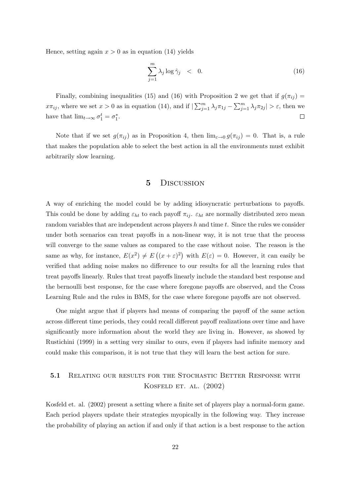Hence, setting again  $x > 0$  as in equation (14) yields

$$
\sum_{j=1}^{m} \lambda_j \log \hat{\gamma}_j \quad < \quad 0. \tag{16}
$$

Finally, combining inequalities (15) and (16) with Proposition 2 we get that if  $g(\pi_{ij}) =$  $x\pi_{ij}$ , where we set  $x > 0$  as in equation (14), and if  $\sum_{j=1}^{m} \lambda_j \pi_{1j} - \sum_{j=1}^{m} \lambda_j \pi_{2j}$   $> \varepsilon$ , then we have that  $\lim_{t\to\infty} \sigma_1^t = \sigma_1^*$ .  $\Box$ 

Note that if we set  $g(\pi_{ij})$  as in Proposition 4, then  $\lim_{\varepsilon\to 0} g(\pi_{ij}) = 0$ . That is, a rule that makes the population able to select the best action in all the environments must exhibit arbitrarily slow learning.

## 5 Discussion

A way of enriching the model could be by adding idiosyncratic perturbations to payoffs. This could be done by adding  $\varepsilon_{ht}$  to each payoff  $\pi_{ij}$ .  $\varepsilon_{ht}$  are normally distributed zero mean random variables that are independent across players  $h$  and time  $t$ . Since the rules we consider under both scenarios can treat payoffs in a non-linear way, it is not true that the process will converge to the same values as compared to the case without noise. The reason is the same as why, for instance,  $E(x^2) \neq E((x+\varepsilon)^2)$  with  $E(\varepsilon) = 0$ . However, it can easily be verified that adding noise makes no difference to our results for all the learning rules that treat payoffs linearly. Rules that treat payoffs linearly include the standard best response and the bernoulli best response, for the case where foregone payoffs are observed, and the Cross Learning Rule and the rules in BMS, for the case where foregone payoffs are not observed.

One might argue that if players had means of comparing the payoff of the same action across different time periods, they could recall different payoff realizations over time and have significantly more information about the world they are living in. However, as showed by Rustichini (1999) in a setting very similar to ours, even if players had infinite memory and could make this comparison, it is not true that they will learn the best action for sure.

## 5.1 RELATING OUR RESULTS FOR THE STOCHASTIC BETTER RESPONSE WITH KOSFELD ET. AL. (2002)

Kosfeld et. al. (2002) present a setting where a finite set of players play a normal-form game. Each period players update their strategies myopically in the following way. They increase the probability of playing an action if and only if that action is a best response to the action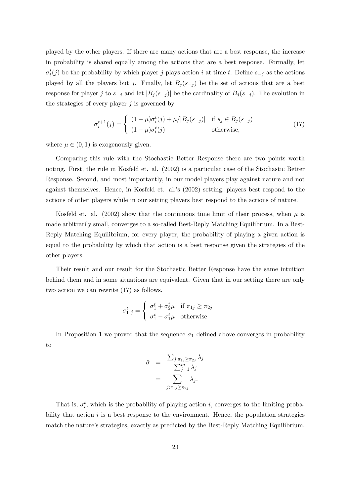played by the other players. If there are many actions that are a best response, the increase in probability is shared equally among the actions that are a best response. Formally, let  $\sigma_i^t(j)$  be the probability by which player j plays action i at time t. Define  $s_{-j}$  as the actions played by all the players but j. Finally, let  $B_j(s_{-j})$  be the set of actions that are a best response for player j to  $s_{-j}$  and let  $|B_j(s_{-j})|$  be the cardinality of  $B_j(s_{-j})$ . The evolution in the strategies of every player  $i$  is governed by

$$
\sigma_i^{t+1}(j) = \begin{cases} (1-\mu)\sigma_i^t(j) + \mu/|B_j(s_{-j})| & \text{if } s_j \in B_j(s_{-j})\\ (1-\mu)\sigma_i^t(j) & \text{otherwise,} \end{cases}
$$
(17)

where  $\mu \in (0, 1)$  is exogenously given.

Comparing this rule with the Stochastic Better Response there are two points worth noting. First, the rule in Kosfeld et. al. (2002) is a particular case of the Stochastic Better Response. Second, and most importantly, in our model players play against nature and not against themselves. Hence, in Kosfeld et. al.'s (2002) setting, players best respond to the actions of other players while in our setting players best respond to the actions of nature.

Kosfeld et. al. (2002) show that the continuous time limit of their process, when  $\mu$  is made arbitrarily small, converges to a so-called Best-Reply Matching Equilibrium. In a Best-Reply Matching Equilibrium, for every player, the probability of playing a given action is equal to the probability by which that action is a best response given the strategies of the other players.

Their result and our result for the Stochastic Better Response have the same intuition behind them and in some situations are equivalent. Given that in our setting there are only two action we can rewrite (17) as follows.

$$
\sigma_1^t|_j = \begin{cases} \sigma_1^t + \sigma_2^t \mu & \text{if } \pi_{1j} \ge \pi_{2j} \\ \sigma_1^t - \sigma_1^t \mu & \text{otherwise} \end{cases}
$$

In Proposition 1 we proved that the sequence  $\sigma_1$  defined above converges in probability to

$$
\hat{\sigma} = \frac{\sum_{j:\pi_{1j} \geq \pi_{2j}} \lambda_j}{\sum_{j=1}^{m} \lambda_j} = \sum_{j:\pi_{1j} \geq \pi_{2j}} \lambda_j.
$$

That is,  $\sigma_i^t$ , which is the probability of playing action *i*, converges to the limiting probability that action  $i$  is a best response to the environment. Hence, the population strategies match the nature's strategies, exactly as predicted by the Best-Reply Matching Equilibrium.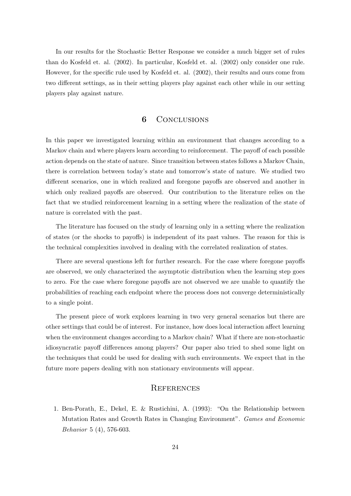In our results for the Stochastic Better Response we consider a much bigger set of rules than do Kosfeld et. al. (2002). In particular, Kosfeld et. al. (2002) only consider one rule. However, for the specific rule used by Kosfeld et. al. (2002), their results and ours come from two different settings, as in their setting players play against each other while in our setting players play against nature.

## 6 CONCLUSIONS

In this paper we investigated learning within an environment that changes according to a Markov chain and where players learn according to reinforcement. The payoff of each possible action depends on the state of nature. Since transition between states follows a Markov Chain, there is correlation between today's state and tomorrow's state of nature. We studied two different scenarios, one in which realized and foregone payoffs are observed and another in which only realized payoffs are observed. Our contribution to the literature relies on the fact that we studied reinforcement learning in a setting where the realization of the state of nature is correlated with the past.

The literature has focused on the study of learning only in a setting where the realization of states (or the shocks to payoffs) is independent of its past values. The reason for this is the technical complexities involved in dealing with the correlated realization of states.

There are several questions left for further research. For the case where foregone payoffs are observed, we only characterized the asymptotic distribution when the learning step goes to zero. For the case where foregone payoffs are not observed we are unable to quantify the probabilities of reaching each endpoint where the process does not converge deterministically to a single point.

The present piece of work explores learning in two very general scenarios but there are other settings that could be of interest. For instance, how does local interaction affect learning when the environment changes according to a Markov chain? What if there are non-stochastic idiosyncratic payoff differences among players? Our paper also tried to shed some light on the techniques that could be used for dealing with such environments. We expect that in the future more papers dealing with non stationary environments will appear.

## **REFERENCES**

1. Ben-Porath, E., Dekel, E. & Rustichini, A. (1993): "On the Relationship between Mutation Rates and Growth Rates in Changing Environment". Games and Economic Behavior 5 (4), 576-603.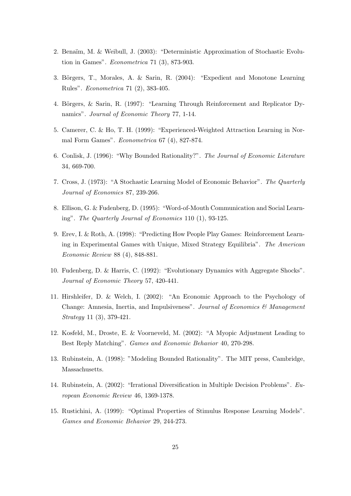- 2. Bena¨ım, M. & Weibull, J. (2003): "Deterministic Approximation of Stochastic Evolution in Games". Econometrica 71 (3), 873-903.
- 3. Börgers, T., Morales, A. & Sarin, R. (2004): "Expedient and Monotone Learning Rules". Econometrica 71 (2), 383-405.
- 4. Börgers, & Sarin, R. (1997): "Learning Through Reinforcement and Replicator Dynamics". Journal of Economic Theory 77, 1-14.
- 5. Camerer, C. & Ho, T. H. (1999): "Experienced-Weighted Attraction Learning in Normal Form Games". Econometrica 67 (4), 827-874.
- 6. Conlisk, J. (1996): "Why Bounded Rationality?". The Journal of Economic Literature 34, 669-700.
- 7. Cross, J. (1973): "A Stochastic Learning Model of Economic Behavior". The Quarterly Journal of Economics 87, 239-266.
- 8. Ellison, G. & Fudenberg, D. (1995): "Word-of-Mouth Communication and Social Learning". The Quarterly Journal of Economics 110 (1), 93-125.
- 9. Erev, I. & Roth, A. (1998): "Predicting How People Play Games: Reinforcement Learning in Experimental Games with Unique, Mixed Strategy Equilibria". The American Economic Review 88 (4), 848-881.
- 10. Fudenberg, D. & Harris, C. (1992): "Evolutionary Dynamics with Aggregate Shocks". Journal of Economic Theory 57, 420-441.
- 11. Hirshleifer, D. & Welch, I. (2002): "An Economic Approach to the Psychology of Change: Amnesia, Inertia, and Impulsiveness". Journal of Economics  $\mathcal C$  Management Strategy 11 (3), 379-421.
- 12. Kosfeld, M., Droste, E. & Voorneveld, M. (2002): "A Myopic Adjustment Leading to Best Reply Matching". Games and Economic Behavior 40, 270-298.
- 13. Rubinstein, A. (1998): "Modeling Bounded Rationality". The MIT press, Cambridge, Massachusetts.
- 14. Rubinstein, A. (2002): "Irrational Diversification in Multiple Decision Problems". European Economic Review 46, 1369-1378.
- 15. Rustichini, A. (1999): "Optimal Properties of Stimulus Response Learning Models". Games and Economic Behavior 29, 244-273.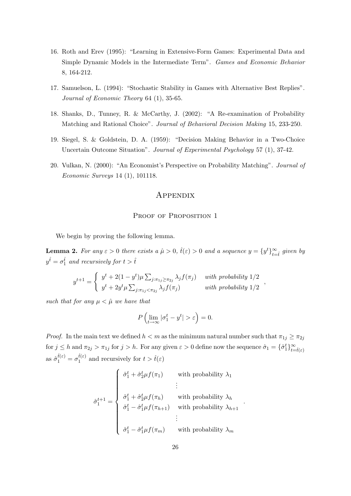- 16. Roth and Erev (1995): "Learning in Extensive-Form Games: Experimental Data and Simple Dynamic Models in the Intermediate Term". Games and Economic Behavior 8, 164-212.
- 17. Samuelson, L. (1994): "Stochastic Stability in Games with Alternative Best Replies". Journal of Economic Theory 64 (1), 35-65.
- 18. Shanks, D., Tunney, R. & McCarthy, J. (2002): "A Re-examination of Probability Matching and Rational Choice". Journal of Behavioral Decision Making 15, 233-250.
- 19. Siegel, S. & Goldstein, D. A. (1959): "Decision Making Behavior in a Two-Choice Uncertain Outcome Situation". Journal of Experimental Psychology 57 (1), 37-42.
- 20. Vulkan, N. (2000): "An Economist's Perspective on Probability Matching". Journal of Economic Surveys 14 (1), 101118.

#### **APPENDIX**

#### PROOF OF PROPOSITION 1

We begin by proving the following lemma.

**Lemma 2.** For any  $\varepsilon > 0$  there exists a  $\hat{\mu} > 0$ ,  $\hat{t}(\varepsilon) > 0$  and a sequence  $y = \{y^t\}_{t=\hat{t}}^{\infty}$  given by  $y^{\hat{t}} = \sigma_1^{\hat{t}}$  and recursively for  $t > \hat{t}$ 

$$
y^{t+1} = \begin{cases} y^t + 2(1 - y^t)\mu \sum_{j:\pi_{1j} \ge \pi_{2j}} \lambda_j f(\pi_j) & \text{with probability } 1/2 \\ y^t + 2y^t \mu \sum_{j:\pi_{1j} < \pi_{2j}} \lambda_j f(\pi_j) & \text{with probability } 1/2 \end{cases}
$$

such that for any  $\mu < \hat{\mu}$  we have that

$$
P\left(\lim_{t\to\infty}|\sigma_1^t - y^t| > \varepsilon\right) = 0.
$$

*Proof.* In the main text we defined  $h < m$  as the minimum natural number such that  $\pi_{1j} \geq \pi_{2j}$ for  $j \leq h$  and  $\pi_{2j} > \pi_{1j}$  for  $j > h$ . For any given  $\varepsilon > 0$  define now the sequence  $\hat{\sigma}_1 = \{\hat{\sigma}_1^t\}_{t=\hat{t}(\varepsilon)}^{\infty}$ as  $\hat{\sigma}_1^{\hat{t}(\varepsilon)} = \sigma_1^{\hat{t}(\varepsilon)}$  $t(\varepsilon)$  and recursively for  $t > \hat{t}(\varepsilon)$ 

$$
\hat{\sigma}_1^{t+1} = \begin{cases}\n\hat{\sigma}_1^t + \hat{\sigma}_2^t \mu f(\pi_1) & \text{with probability } \lambda_1 \\
\vdots \\
\hat{\sigma}_1^t + \hat{\sigma}_2^t \mu f(\pi_h) & \text{with probability } \lambda_h \\
\hat{\sigma}_1^t - \hat{\sigma}_1^t \mu f(\pi_{h+1}) & \text{with probability } \lambda_{h+1} \\
\vdots \\
\hat{\sigma}_1^t - \hat{\sigma}_1^t \mu f(\pi_m) & \text{with probability } \lambda_m\n\end{cases}
$$

.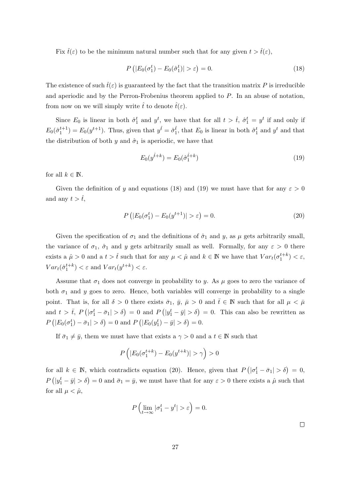Fix  $\hat{t}(\varepsilon)$  to be the minimum natural number such that for any given  $t > \hat{t}(\varepsilon)$ ,

$$
P\left(|E_0(\sigma_1^t) - E_0(\hat{\sigma}_1^t)| > \varepsilon\right) = 0.
$$
\n(18)

The existence of such  $\hat{t}(\varepsilon)$  is guaranteed by the fact that the transition matrix P is irreducible and aperiodic and by the Perron-Frobenius theorem applied to P. In an abuse of notation, from now on we will simply write  $\hat{t}$  to denote  $\hat{t}(\varepsilon)$ .

Since  $E_0$  is linear in both  $\hat{\sigma}_1^t$  and  $y^t$ , we have that for all  $t > \hat{t}$ ,  $\hat{\sigma}_1^t = y^t$  if and only if  $E_0(\hat{\sigma}_1^{t+1}) = E_0(y^{t+1})$ . Thus, given that  $y^{\hat{t}} = \hat{\sigma}_1^{\hat{t}}$ , that  $E_0$  is linear in both  $\hat{\sigma}_1^t$  and  $y^t$  and that the distribution of both y and  $\hat{\sigma}_1$  is aperiodic, we have that

$$
E_0(y^{\hat{t}+k}) = E_0(\hat{\sigma}_1^{\hat{t}+k})
$$
\n(19)

for all  $k \in \mathbb{N}$ .

Given the definition of y and equations (18) and (19) we must have that for any  $\varepsilon > 0$ and any  $t > \hat{t}$ ,

$$
P(|E_0(\sigma_1^t) - E_0(y^{t+1})| > \varepsilon) = 0.
$$
\n(20)

Given the specification of  $\sigma_1$  and the definitions of  $\hat{\sigma}_1$  and y, as  $\mu$  gets arbitrarily small, the variance of  $\sigma_1$ ,  $\hat{\sigma}_1$  and y gets arbitrarily small as well. Formally, for any  $\varepsilon > 0$  there exists a  $\hat{\mu} > 0$  and a  $t > \hat{t}$  such that for any  $\mu < \hat{\mu}$  and  $k \in \mathbb{N}$  we have that  $Var_t(\sigma_1^{t+k}) < \varepsilon$ ,  $Var_t(\hat{\sigma}_1^{t+k}) < \varepsilon$  and  $Var_t(y^{t+k}) < \varepsilon$ .

Assume that  $\sigma_1$  does not converge in probability to y. As  $\mu$  goes to zero the variance of both  $\sigma_1$  and y goes to zero. Hence, both variables will converge in probability to a single point. That is, for all  $\delta > 0$  there exists  $\bar{\sigma}_1$ ,  $\bar{y}$ ,  $\bar{\mu} > 0$  and  $\bar{t} \in \mathbb{N}$  such that for all  $\mu < \bar{\mu}$ and  $t > \overline{t}$ ,  $P(|\sigma_1^t - \overline{\sigma}_1| > \delta) = 0$  and  $P(|y_1^t - \overline{y}| > \delta) = 0$ . This can also be rewritten as  $P(|E_0(\sigma_1^t) - \bar{\sigma}_1| > \delta) = 0$  and  $P(|E_0(y_1^t) - \bar{y}| > \delta) = 0$ .

If  $\bar{\sigma}_1 \neq \bar{y}$ , them we must have that exists a  $\gamma > 0$  and a  $t \in \mathbb{N}$  such that

$$
P\left(|E_0(\sigma_1^{t+k}) - E_0(y^{t+k})| > \gamma\right) > 0
$$

for all  $k \in \mathbb{N}$ , which contradicts equation (20). Hence, given that  $P(|\sigma_1^t - \bar{\sigma}_1| > \delta) = 0$ ,  $P(|y_1^t - \bar{y}| > \delta) = 0$  and  $\bar{\sigma}_1 = \bar{y}$ , we must have that for any  $\varepsilon > 0$  there exists a  $\hat{\mu}$  such that for all  $\mu < \hat{\mu}$ ,

$$
P\left(\lim_{t\to\infty}|\sigma_1^t - y^t| > \varepsilon\right) = 0.
$$

 $\Box$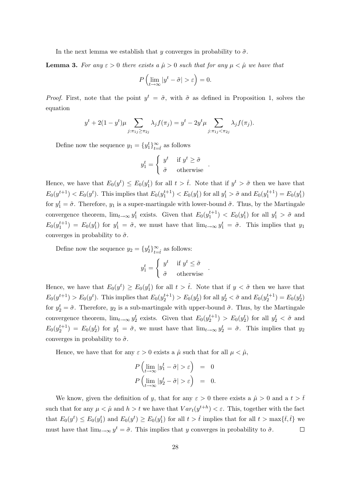In the next lemma we establish that y converges in probability to  $\tilde{\sigma}$ .

**Lemma 3.** For any  $\varepsilon > 0$  there exists a  $\hat{\mu} > 0$  such that for any  $\mu < \hat{\mu}$  we have that

$$
P\left(\lim_{t\to\infty}|y^t-\tilde{\sigma}|>\varepsilon\right)=0.
$$

*Proof.* First, note that the point  $y^t = \tilde{\sigma}$ , with  $\tilde{\sigma}$  as defined in Proposition 1, solves the equation

$$
y^{t} + 2(1 - y^{t})\mu \sum_{j:\pi_{1j} \geq \pi_{2j}} \lambda_{j} f(\pi_{j}) = y^{t} - 2y^{t} \mu \sum_{j:\pi_{1j} < \pi_{2j}} \lambda_{j} f(\pi_{j}).
$$

Define now the sequence  $y_1 = \{y_1^t\}_{t=\hat{t}}^{\infty}$  as follows

$$
y_1^t = \begin{cases} y^t & \text{if } y^t \ge \tilde{\sigma} \\ \tilde{\sigma} & \text{otherwise} \end{cases} .
$$

Hence, we have that  $E_0(y^t) \le E_0(y_1^t)$  for all  $t > \hat{t}$ . Note that if  $y^t > \tilde{\sigma}$  then we have that  $E_0(y^{t+1}) < E_0(y^t)$ . This implies that  $E_0(y_1^{t+1}) < E_0(y_1^t)$  for all  $y_1^t > \tilde{\sigma}$  and  $E_0(y_1^{t+1}) = E_0(y_1^t)$ for  $y_1^t = \tilde{\sigma}$ . Therefore,  $y_1$  is a super-martingale with lower-bound  $\tilde{\sigma}$ . Thus, by the Martingale convergence theorem,  $\lim_{t\to\infty} y_1^t$  exists. Given that  $E_0(y_1^{t+1}) < E_0(y_1^t)$  for all  $y_1^t > \tilde{\sigma}$  and  $E_0(y_1^{t+1}) = E_0(y_1^t)$  for  $y_1^t = \tilde{\sigma}$ , we must have that  $\lim_{t\to\infty} y_1^t = \tilde{\sigma}$ . This implies that  $y_1$ converges in probability to  $\tilde{\sigma}$ .

Define now the sequence  $y_2 = \{y_2^t\}_{t=\hat{t}}^{\infty}$  as follows:

$$
y_1^t = \begin{cases} y^t & \text{if } y^t \le \tilde{\sigma} \\ \tilde{\sigma} & \text{otherwise} \end{cases}
$$

.

Hence, we have that  $E_0(y^t) \ge E_0(y_1^t)$  for all  $t > \hat{t}$ . Note that if  $y < \tilde{\sigma}$  then we have that  $E_0(y^{t+1}) > E_0(y^t)$ . This implies that  $E_0(y_2^{t+1}) > E_0(y_2^t)$  for all  $y_2^t < \tilde{\sigma}$  and  $E_0(y_2^{t+1}) = E_0(y_2^t)$ for  $y_2^t = \tilde{\sigma}$ . Therefore,  $y_2$  is a sub-martingale with upper-bound  $\tilde{\sigma}$ . Thus, by the Martingale convergence theorem,  $\lim_{t\to\infty} y_2^t$  exists. Given that  $E_0(y_2^{t+1}) > E_0(y_2^t)$  for all  $y_2^t < \tilde{\sigma}$  and  $E_0(y_2^{t+1}) = E_0(y_2^t)$  for  $y_1^t = \tilde{\sigma}$ , we must have that  $\lim_{t\to\infty} y_2^t = \tilde{\sigma}$ . This implies that  $y_2$ converges in probability to  $\tilde{\sigma}$ .

Hence, we have that for any  $\varepsilon > 0$  exists a  $\hat{\mu}$  such that for all  $\mu < \hat{\mu}$ ,

$$
P\left(\lim_{t\to\infty}|y_1^t - \tilde{\sigma}| > \varepsilon\right) = 0
$$
  

$$
P\left(\lim_{t\to\infty}|y_2^t - \tilde{\sigma}| > \varepsilon\right) = 0.
$$

We know, given the definition of y, that for any  $\varepsilon > 0$  there exists a  $\hat{\mu} > 0$  and a  $t > \bar{t}$ such that for any  $\mu < \hat{\mu}$  and  $h > t$  we have that  $Var_t(y^{t+h}) < \varepsilon$ . This, together with the fact that  $E_0(y^t) \le E_0(y_1^t)$  and  $E_0(y^t) \ge E_0(y_1^t)$  for all  $t > \hat{t}$  implies that for all  $t > \max{\{\overline{t}, \hat{t}\}}$  we must have that  $\lim_{t\to\infty} y^t = \tilde{\sigma}$ . This implies that y converges in probability to  $\tilde{\sigma}$ .  $\Box$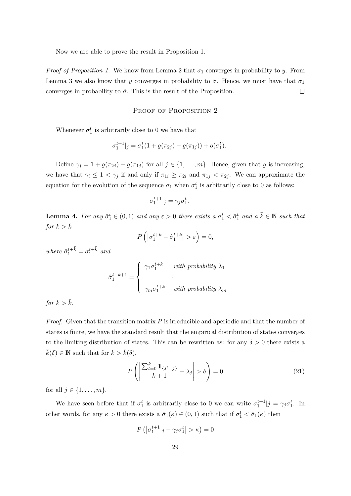Now we are able to prove the result in Proposition 1.

*Proof of Proposition 1.* We know from Lemma 2 that  $\sigma_1$  converges in probability to y. From Lemma 3 we also know that y converges in probability to  $\tilde{\sigma}$ . Hence, we must have that  $\sigma_1$ converges in probability to  $\tilde{\sigma}$ . This is the result of the Proposition.  $\Box$ 

#### PROOF OF PROPOSITION 2

Whenever  $\sigma_1^t$  is arbitrarily close to 0 we have that

$$
\sigma_1^{t+1}|_j = \sigma_1^t(1 + g(\pi_{2j}) - g(\pi_{1j})) + o(\sigma_1^t).
$$

Define  $\gamma_j = 1 + g(\pi_{2j}) - g(\pi_{1j})$  for all  $j \in \{1, ..., m\}$ . Hence, given that g is increasing, we have that  $\gamma_i \leq 1 < \gamma_j$  if and only if  $\pi_{1i} \geq \pi_{2i}$  and  $\pi_{1j} < \pi_{2j}$ . We can approximate the equation for the evolution of the sequence  $\sigma_1$  when  $\sigma_1^t$  is arbitrarily close to 0 as follows:

$$
\sigma_1^{t+1}|_j = \gamma_j \sigma_1^t.
$$

**Lemma 4.** For any  $\bar{\sigma}_1^t \in (0,1)$  and any  $\varepsilon > 0$  there exists a  $\sigma_1^t < \bar{\sigma}_1^t$  and a  $\bar{k} \in \mathbb{N}$  such that for  $k > \bar{k}$ 

$$
P\left(\left|\sigma_1^{t+k}-\hat{\sigma}_1^{t+k}\right|>\varepsilon\right)=0,
$$

where  $\hat{\sigma}_1^{t+\bar{k}} = \sigma_1^{t+\bar{k}}$  and

$$
\hat{\sigma}_1^{t+k+1} = \begin{cases}\n\gamma_1 \sigma_1^{t+k} & \text{with probability } \lambda_1 \\
\vdots & \vdots \\
\gamma_m \sigma_1^{t+k} & \text{with probability } \lambda_m\n\end{cases}
$$

for  $k > \overline{k}$ .

*Proof.* Given that the transition matrix  $P$  is irreducible and aperiodic and that the number of states is finite, we have the standard result that the empirical distribution of states converges to the limiting distribution of states. This can be rewritten as: for any  $\delta > 0$  there exists a  $\bar{k}(\delta) \in \mathbb{N}$  such that for  $k > \bar{k}(\delta)$ ,

$$
P\left(\left|\frac{\sum_{t=0}^{k} \mathbb{1}_{\{s^t = j\}}}{k+1} - \lambda_j\right| > \delta\right) = 0\tag{21}
$$

for all  $j \in \{1, \ldots, m\}$ .

We have seen before that if  $\sigma_1^t$  is arbitrarily close to 0 we can write  $\sigma_1^{t+1}|j = \gamma_j \sigma_1^t$ . In other words, for any  $\kappa > 0$  there exists a  $\bar{\sigma}_1(\kappa) \in (0,1)$  such that if  $\sigma_1^t < \bar{\sigma}_1(\kappa)$  then

$$
P\left(|\sigma_1^{t+1}|_j - \gamma_j \sigma_1^t| > \kappa\right) = 0
$$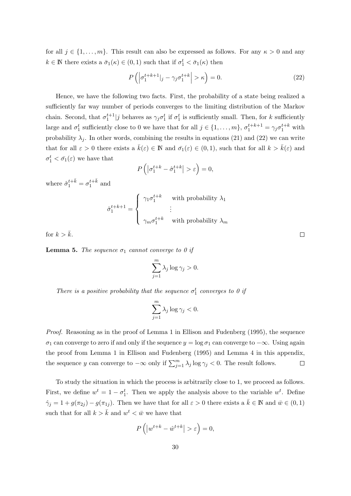for all  $j \in \{1, \ldots, m\}$ . This result can also be expressed as follows. For any  $\kappa > 0$  and any  $k \in \mathbb{N}$  there exists a  $\bar{\sigma}_1(\kappa) \in (0,1)$  such that if  $\sigma_1^t < \bar{\sigma}_1(\kappa)$  then

$$
P\left(\left|\sigma_1^{t+k+1}|_j - \gamma_j \sigma_1^{t+k}\right| > \kappa\right) = 0.
$$
\n(22)

Hence, we have the following two facts. First, the probability of a state being realized a sufficiently far way number of periods converges to the limiting distribution of the Markov chain. Second, that  $\sigma_1^{t+1}|j$  behaves as  $\gamma_j \sigma_1^t$  if  $\sigma_1^t$  is sufficiently small. Then, for k sufficiently large and  $\sigma_1^t$  sufficiently close to 0 we have that for all  $j \in \{1, \ldots, m\}$ ,  $\sigma_1^{t+k+1} = \gamma_j \sigma_1^{t+k}$  with probability  $\lambda_i$ . In other words, combining the results in equations (21) and (22) we can write that for all  $\varepsilon > 0$  there exists a  $\bar{k}(\varepsilon) \in \mathbb{N}$  and  $\bar{\sigma}_1(\varepsilon) \in (0,1)$ , such that for all  $k > \bar{k}(\varepsilon)$  and  $\sigma_1^t < \bar{\sigma_1}(\varepsilon)$  we have that

$$
P\left(\left|\sigma_1^{t+k} - \hat{\sigma}_1^{t+k}\right| > \varepsilon\right) = 0,
$$

where  $\hat{\sigma}_1^{t+\bar{k}} = \sigma_1^{t+\bar{k}}$  and

$$
\hat{\sigma}_1^{t+k+1} = \begin{cases}\n\gamma_1 \sigma_1^{t+k} & \text{with probability } \lambda_1 \\
\vdots \\
\gamma_m \sigma_1^{t+k} & \text{with probability } \lambda_m\n\end{cases}
$$

for  $k > \bar{k}$ .

**Lemma 5.** The sequence  $\sigma_1$  cannot converge to 0 if

$$
\sum_{j=1}^{m} \lambda_j \log \gamma_j > 0.
$$

There is a positive probability that the sequence  $\sigma_1^t$  converges to 0 if

$$
\sum_{j=1}^{m} \lambda_j \log \gamma_j < 0.
$$

Proof. Reasoning as in the proof of Lemma 1 in Ellison and Fudenberg (1995), the sequence  $\sigma_1$  can converge to zero if and only if the sequence  $y = \log \sigma_1$  can converge to  $-\infty$ . Using again the proof from Lemma 1 in Ellison and Fudenberg (1995) and Lemma 4 in this appendix, the sequence y can converge to  $-\infty$  only if  $\sum_{j=1}^{m} \lambda_j \log \gamma_j < 0$ . The result follows.  $\Box$ 

To study the situation in which the process is arbitrarily close to 1, we proceed as follows. First, we define  $w^t = 1 - \sigma_1^t$ . Then we apply the analysis above to the variable  $w^t$ . Define  $\hat{\gamma}_j = 1 + g(\pi_{2j}) - g(\pi_{1j}).$  Then we have that for all  $\varepsilon > 0$  there exists a  $\bar{k} \in \mathbb{N}$  and  $\bar{w} \in (0,1)$ such that for all  $k > \bar{k}$  and  $w^t < \bar{w}$  we have that

$$
P\left(|w^{t+k} - \hat{w}^{t+k}| > \varepsilon\right) = 0,
$$

 $\Box$